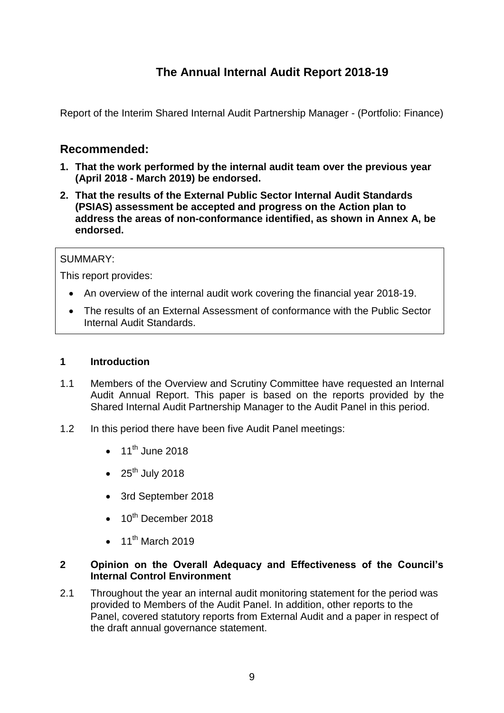# **The Annual Internal Audit Report 2018-19**

Report of the Interim Shared Internal Audit Partnership Manager - (Portfolio: Finance)

# **Recommended:**

- **1. That the work performed by the internal audit team over the previous year (April 2018 - March 2019) be endorsed.**
- **2. That the results of the External Public Sector Internal Audit Standards (PSIAS) assessment be accepted and progress on the Action plan to address the areas of non-conformance identified, as shown in Annex A, be endorsed.**

# SUMMARY:

This report provides:

- An overview of the internal audit work covering the financial year 2018-19.
- The results of an External Assessment of conformance with the Public Sector Internal Audit Standards.

#### **1 Introduction**

- 1.1 Members of the Overview and Scrutiny Committee have requested an Internal Audit Annual Report. This paper is based on the reports provided by the Shared Internal Audit Partnership Manager to the Audit Panel in this period.
- 1.2 In this period there have been five Audit Panel meetings:
	- $\bullet$  11<sup>th</sup> June 2018
	- $\bullet$  25<sup>th</sup> July 2018
	- 3rd September 2018
	- $\bullet$  10<sup>th</sup> December 2018
	- $\bullet$  11<sup>th</sup> March 2019

#### **2 Opinion on the Overall Adequacy and Effectiveness of the Council's Internal Control Environment**

2.1 Throughout the year an internal audit monitoring statement for the period was provided to Members of the Audit Panel. In addition, other reports to the Panel, covered statutory reports from External Audit and a paper in respect of the draft annual governance statement.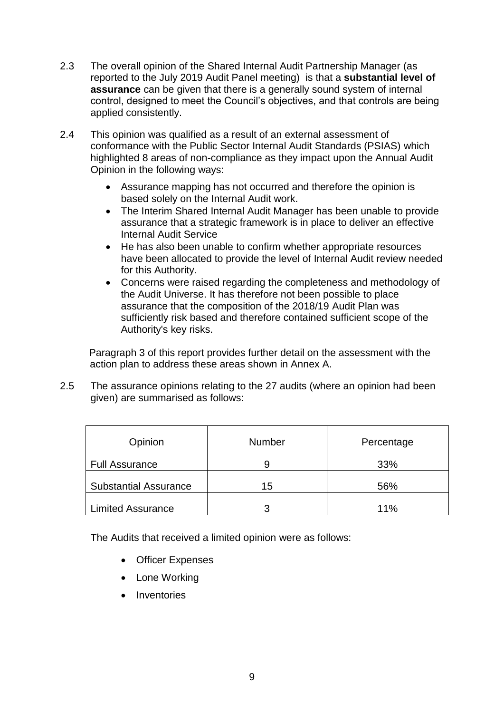- 2.3 The overall opinion of the Shared Internal Audit Partnership Manager (as reported to the July 2019 Audit Panel meeting) is that a **substantial level of assurance** can be given that there is a generally sound system of internal control, designed to meet the Council's objectives, and that controls are being applied consistently.
- 2.4 This opinion was qualified as a result of an external assessment of conformance with the Public Sector Internal Audit Standards (PSIAS) which highlighted 8 areas of non-compliance as they impact upon the Annual Audit Opinion in the following ways:
	- Assurance mapping has not occurred and therefore the opinion is based solely on the Internal Audit work.
	- The Interim Shared Internal Audit Manager has been unable to provide assurance that a strategic framework is in place to deliver an effective Internal Audit Service
	- He has also been unable to confirm whether appropriate resources have been allocated to provide the level of Internal Audit review needed for this Authority.
	- Concerns were raised regarding the completeness and methodology of the Audit Universe. It has therefore not been possible to place assurance that the composition of the 2018/19 Audit Plan was sufficiently risk based and therefore contained sufficient scope of the Authority's key risks.

Paragraph 3 of this report provides further detail on the assessment with the action plan to address these areas shown in Annex A.

2.5 The assurance opinions relating to the 27 audits (where an opinion had been given) are summarised as follows:

| Opinion                      | Number | Percentage |
|------------------------------|--------|------------|
| <b>Full Assurance</b>        |        | 33%        |
| <b>Substantial Assurance</b> | 15     | 56%        |
| Limited Assurance            | ว      | 11%        |

The Audits that received a limited opinion were as follows:

- Officer Expenses
- Lone Working
- Inventories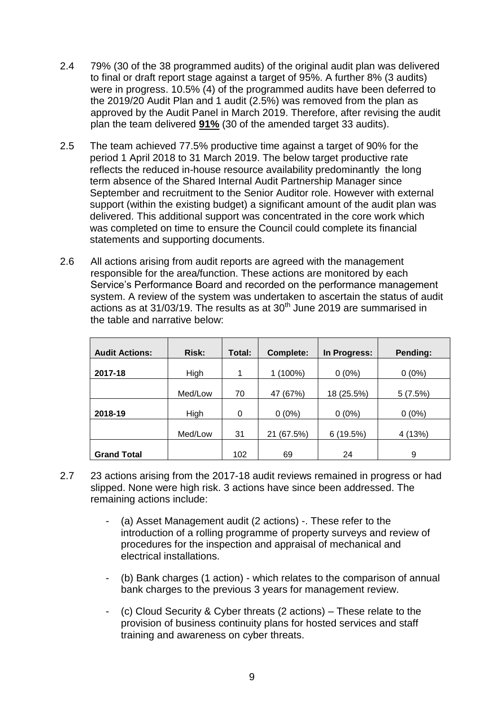- 2.4 79% (30 of the 38 programmed audits) of the original audit plan was delivered to final or draft report stage against a target of 95%. A further 8% (3 audits) were in progress. 10.5% (4) of the programmed audits have been deferred to the 2019/20 Audit Plan and 1 audit (2.5%) was removed from the plan as approved by the Audit Panel in March 2019. Therefore, after revising the audit plan the team delivered **91%** (30 of the amended target 33 audits).
- 2.5 The team achieved 77.5% productive time against a target of 90% for the period 1 April 2018 to 31 March 2019. The below target productive rate reflects the reduced in-house resource availability predominantly the long term absence of the Shared Internal Audit Partnership Manager since September and recruitment to the Senior Auditor role. However with external support (within the existing budget) a significant amount of the audit plan was delivered. This additional support was concentrated in the core work which was completed on time to ensure the Council could complete its financial statements and supporting documents.
- 2.6 All actions arising from audit reports are agreed with the management responsible for the area/function. These actions are monitored by each Service's Performance Board and recorded on the performance management system. A review of the system was undertaken to ascertain the status of audit actions as at 31/03/19. The results as at  $30<sup>th</sup>$  June 2019 are summarised in the table and narrative below:

| <b>Audit Actions:</b> | <b>Risk:</b> | Total: | <b>Complete:</b> | In Progress: | Pending: |
|-----------------------|--------------|--------|------------------|--------------|----------|
| 2017-18               | High         | 1      | $(100\%)$        | $0(0\%)$     | $0(0\%)$ |
|                       | Med/Low      | 70     | 47 (67%)         | 18 (25.5%)   | 5(7.5%)  |
| 2018-19               | High         | 0      | $0(0\%)$         | $0(0\%)$     | $0(0\%)$ |
|                       | Med/Low      | 31     | 21 (67.5%)       | (19.5%)<br>6 | 4 (13%)  |
| <b>Grand Total</b>    |              | 102    | 69               | 24           | 9        |

- 2.7 23 actions arising from the 2017-18 audit reviews remained in progress or had slipped. None were high risk. 3 actions have since been addressed. The remaining actions include:
	- (a) Asset Management audit (2 actions) -. These refer to the introduction of a rolling programme of property surveys and review of procedures for the inspection and appraisal of mechanical and electrical installations.
	- (b) Bank charges (1 action) which relates to the comparison of annual bank charges to the previous 3 years for management review.
	- (c) Cloud Security & Cyber threats  $(2 \text{ actions})$  These relate to the provision of business continuity plans for hosted services and staff training and awareness on cyber threats.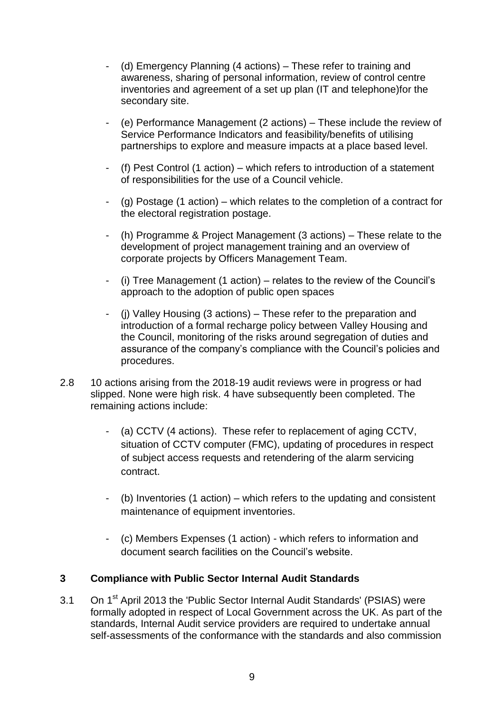- (d) Emergency Planning (4 actions) These refer to training and awareness, sharing of personal information, review of control centre inventories and agreement of a set up plan (IT and telephone)for the secondary site.
- (e) Performance Management (2 actions) These include the review of Service Performance Indicators and feasibility/benefits of utilising partnerships to explore and measure impacts at a place based level.
- (f) Pest Control (1 action) which refers to introduction of a statement of responsibilities for the use of a Council vehicle.
- (g) Postage (1 action) which relates to the completion of a contract for the electoral registration postage.
- (h) Programme & Project Management (3 actions) These relate to the development of project management training and an overview of corporate projects by Officers Management Team.
- (i) Tree Management (1 action) relates to the review of the Council's approach to the adoption of public open spaces
- (j) Valley Housing (3 actions) These refer to the preparation and introduction of a formal recharge policy between Valley Housing and the Council, monitoring of the risks around segregation of duties and assurance of the company's compliance with the Council's policies and procedures.
- 2.8 10 actions arising from the 2018-19 audit reviews were in progress or had slipped. None were high risk. 4 have subsequently been completed. The remaining actions include:
	- (a) CCTV (4 actions). These refer to replacement of aging CCTV, situation of CCTV computer (FMC), updating of procedures in respect of subject access requests and retendering of the alarm servicing contract.
	- (b) Inventories (1 action) which refers to the updating and consistent maintenance of equipment inventories.
	- (c) Members Expenses (1 action) which refers to information and document search facilities on the Council's website.

# **3 Compliance with Public Sector Internal Audit Standards**

3.1 On 1<sup>st</sup> April 2013 the 'Public Sector Internal Audit Standards' (PSIAS) were formally adopted in respect of Local Government across the UK. As part of the standards, Internal Audit service providers are required to undertake annual self-assessments of the conformance with the standards and also commission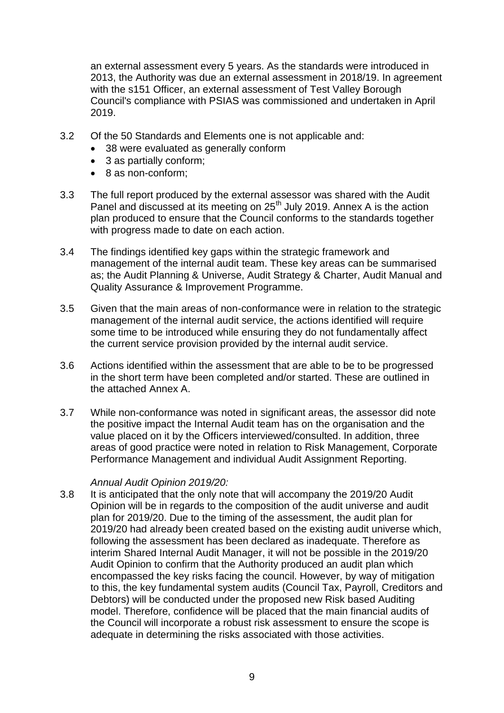an external assessment every 5 years. As the standards were introduced in 2013, the Authority was due an external assessment in 2018/19. In agreement with the s151 Officer, an external assessment of Test Valley Borough Council's compliance with PSIAS was commissioned and undertaken in April 2019.

- 3.2 Of the 50 Standards and Elements one is not applicable and:
	- 38 were evaluated as generally conform
	- 3 as partially conform;
	- 8 as non-conform:
- 3.3 The full report produced by the external assessor was shared with the Audit Panel and discussed at its meeting on 25<sup>th</sup> July 2019. Annex A is the action plan produced to ensure that the Council conforms to the standards together with progress made to date on each action.
- 3.4 The findings identified key gaps within the strategic framework and management of the internal audit team. These key areas can be summarised as; the Audit Planning & Universe, Audit Strategy & Charter, Audit Manual and Quality Assurance & Improvement Programme.
- 3.5 Given that the main areas of non-conformance were in relation to the strategic management of the internal audit service, the actions identified will require some time to be introduced while ensuring they do not fundamentally affect the current service provision provided by the internal audit service.
- 3.6 Actions identified within the assessment that are able to be to be progressed in the short term have been completed and/or started. These are outlined in the attached Annex A.
- 3.7 While non-conformance was noted in significant areas, the assessor did note the positive impact the Internal Audit team has on the organisation and the value placed on it by the Officers interviewed/consulted. In addition, three areas of good practice were noted in relation to Risk Management, Corporate Performance Management and individual Audit Assignment Reporting.

#### *Annual Audit Opinion 2019/20:*

3.8 It is anticipated that the only note that will accompany the 2019/20 Audit Opinion will be in regards to the composition of the audit universe and audit plan for 2019/20. Due to the timing of the assessment, the audit plan for 2019/20 had already been created based on the existing audit universe which, following the assessment has been declared as inadequate. Therefore as interim Shared Internal Audit Manager, it will not be possible in the 2019/20 Audit Opinion to confirm that the Authority produced an audit plan which encompassed the key risks facing the council. However, by way of mitigation to this, the key fundamental system audits (Council Tax, Payroll, Creditors and Debtors) will be conducted under the proposed new Risk based Auditing model. Therefore, confidence will be placed that the main financial audits of the Council will incorporate a robust risk assessment to ensure the scope is adequate in determining the risks associated with those activities.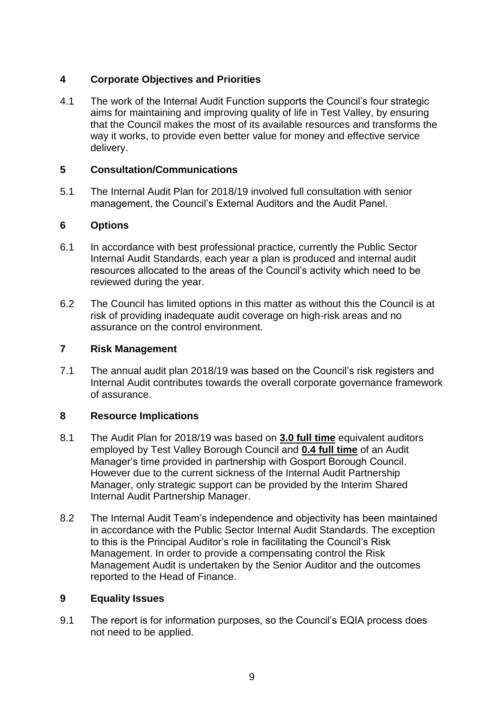# **4 Corporate Objectives and Priorities**

4.1 The work of the Internal Audit Function supports the Council's four strategic aims for maintaining and improving quality of life in Test Valley, by ensuring that the Council makes the most of its available resources and transforms the way it works, to provide even better value for money and effective service delivery.

# **5 Consultation/Communications**

5.1 The Internal Audit Plan for 2018/19 involved full consultation with senior management, the Council's External Auditors and the Audit Panel.

# **6 Options**

- 6.1 In accordance with best professional practice, currently the Public Sector Internal Audit Standards, each year a plan is produced and internal audit resources allocated to the areas of the Council's activity which need to be reviewed during the year.
- 6.2 The Council has limited options in this matter as without this the Council is at risk of providing inadequate audit coverage on high-risk areas and no assurance on the control environment.

# **7 Risk Management**

7.1 The annual audit plan 2018/19 was based on the Council's risk registers and Internal Audit contributes towards the overall corporate governance framework of assurance.

# **8 Resource Implications**

- 8.1 The Audit Plan for 2018/19 was based on **3.0 full time** equivalent auditors employed by Test Valley Borough Council and **0.4 full time** of an Audit Manager's time provided in partnership with Gosport Borough Council. However due to the current sickness of the Internal Audit Partnership Manager, only strategic support can be provided by the Interim Shared Internal Audit Partnership Manager.
- 8.2 The Internal Audit Team's independence and objectivity has been maintained in accordance with the Public Sector Internal Audit Standards. The exception to this is the Principal Auditor's role in facilitating the Council's Risk Management. In order to provide a compensating control the Risk Management Audit is undertaken by the Senior Auditor and the outcomes reported to the Head of Finance.

# **9 Equality Issues**

9.1 The report is for information purposes, so the Council's EQIA process does not need to be applied.